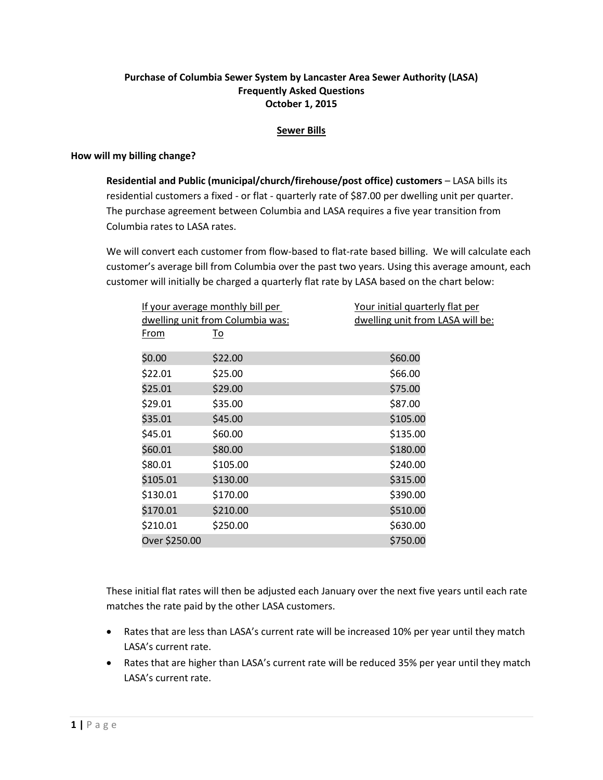## **Purchase of Columbia Sewer System by Lancaster Area Sewer Authority (LASA) Frequently Asked Questions October 1, 2015**

#### **Sewer Bills**

#### **How will my billing change?**

**Residential and Public (municipal/church/firehouse/post office) customers** – LASA bills its residential customers a fixed - or flat - quarterly rate of \$87.00 per dwelling unit per quarter. The purchase agreement between Columbia and LASA requires a five year transition from Columbia rates to LASA rates.

We will convert each customer from flow-based to flat-rate based billing. We will calculate each customer's average bill from Columbia over the past two years. Using this average amount, each customer will initially be charged a quarterly flat rate by LASA based on the chart below:

| If your average monthly bill per |           | Your initial quarterly flat per  |
|----------------------------------|-----------|----------------------------------|
| dwelling unit from Columbia was: |           | dwelling unit from LASA will be: |
| <u>From</u>                      | <u>To</u> |                                  |
| \$0.00                           | \$22.00   | \$60.00                          |
| \$22.01                          | \$25.00   | \$66.00                          |
| \$25.01                          | \$29.00   | \$75.00                          |
| \$29.01                          | \$35.00   | \$87.00                          |
| \$35.01                          | \$45.00   | \$105.00                         |
| \$45.01                          | \$60.00   | \$135.00                         |
| \$60.01                          | \$80.00   | \$180.00                         |
| \$80.01                          | \$105.00  | \$240.00                         |
| \$105.01                         | \$130.00  | \$315.00                         |
| \$130.01                         | \$170.00  | \$390.00                         |
| \$170.01                         | \$210.00  | \$510.00                         |
| \$210.01                         | \$250.00  | \$630.00                         |
| Over \$250.00                    |           | \$750.00                         |

These initial flat rates will then be adjusted each January over the next five years until each rate matches the rate paid by the other LASA customers.

- Rates that are less than LASA's current rate will be increased 10% per year until they match LASA's current rate.
- Rates that are higher than LASA's current rate will be reduced 35% per year until they match LASA's current rate.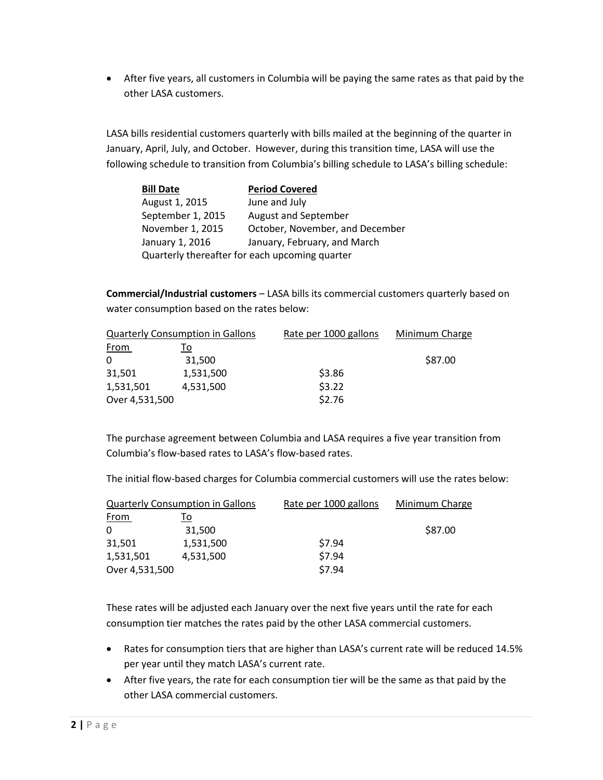After five years, all customers in Columbia will be paying the same rates as that paid by the other LASA customers.

LASA bills residential customers quarterly with bills mailed at the beginning of the quarter in January, April, July, and October. However, during this transition time, LASA will use the following schedule to transition from Columbia's billing schedule to LASA's billing schedule:

| <b>Bill Date</b>                               | <b>Period Covered</b>           |  |
|------------------------------------------------|---------------------------------|--|
| August 1, 2015                                 | June and July                   |  |
| September 1, 2015                              | August and September            |  |
| November 1, 2015                               | October, November, and December |  |
| January 1, 2016                                | January, February, and March    |  |
| Quarterly thereafter for each upcoming quarter |                                 |  |

**Commercial/Industrial customers** – LASA bills its commercial customers quarterly based on water consumption based on the rates below:

| <b>Quarterly Consumption in Gallons</b> |           | Rate per 1000 gallons | Minimum Charge |
|-----------------------------------------|-----------|-----------------------|----------------|
| <u>From</u>                             | То        |                       |                |
| 0                                       | 31,500    |                       | \$87.00        |
| 31,501                                  | 1,531,500 | \$3.86                |                |
| 1,531,501                               | 4,531,500 | \$3.22                |                |
| Over 4,531,500                          |           | \$2.76                |                |

The purchase agreement between Columbia and LASA requires a five year transition from Columbia's flow-based rates to LASA's flow-based rates.

The initial flow-based charges for Columbia commercial customers will use the rates below:

| <b>Quarterly Consumption in Gallons</b> |           | Rate per 1000 gallons | Minimum Charge |
|-----------------------------------------|-----------|-----------------------|----------------|
| <u>From</u>                             | То        |                       |                |
| $\mathbf{0}$                            | 31,500    |                       | \$87.00        |
| 31,501                                  | 1,531,500 | \$7.94                |                |
| 1,531,501                               | 4,531,500 | \$7.94                |                |
| Over 4,531,500                          |           | \$7.94                |                |

These rates will be adjusted each January over the next five years until the rate for each consumption tier matches the rates paid by the other LASA commercial customers.

- Rates for consumption tiers that are higher than LASA's current rate will be reduced 14.5% per year until they match LASA's current rate.
- After five years, the rate for each consumption tier will be the same as that paid by the other LASA commercial customers.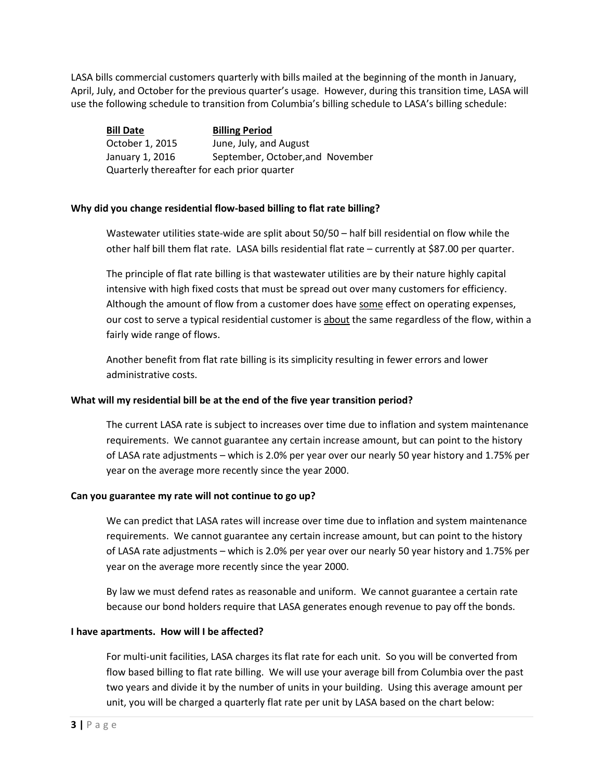LASA bills commercial customers quarterly with bills mailed at the beginning of the month in January, April, July, and October for the previous quarter's usage. However, during this transition time, LASA will use the following schedule to transition from Columbia's billing schedule to LASA's billing schedule:

**Bill Date Billing Period** October 1, 2015 June, July, and August January 1, 2016 September, October,and November Quarterly thereafter for each prior quarter

### **Why did you change residential flow-based billing to flat rate billing?**

Wastewater utilities state-wide are split about 50/50 – half bill residential on flow while the other half bill them flat rate. LASA bills residential flat rate – currently at \$87.00 per quarter.

The principle of flat rate billing is that wastewater utilities are by their nature highly capital intensive with high fixed costs that must be spread out over many customers for efficiency. Although the amount of flow from a customer does have some effect on operating expenses, our cost to serve a typical residential customer is about the same regardless of the flow, within a fairly wide range of flows.

Another benefit from flat rate billing is its simplicity resulting in fewer errors and lower administrative costs.

### **What will my residential bill be at the end of the five year transition period?**

The current LASA rate is subject to increases over time due to inflation and system maintenance requirements. We cannot guarantee any certain increase amount, but can point to the history of LASA rate adjustments – which is 2.0% per year over our nearly 50 year history and 1.75% per year on the average more recently since the year 2000.

### **Can you guarantee my rate will not continue to go up?**

We can predict that LASA rates will increase over time due to inflation and system maintenance requirements. We cannot guarantee any certain increase amount, but can point to the history of LASA rate adjustments – which is 2.0% per year over our nearly 50 year history and 1.75% per year on the average more recently since the year 2000.

By law we must defend rates as reasonable and uniform. We cannot guarantee a certain rate because our bond holders require that LASA generates enough revenue to pay off the bonds.

### **I have apartments. How will I be affected?**

For multi-unit facilities, LASA charges its flat rate for each unit. So you will be converted from flow based billing to flat rate billing. We will use your average bill from Columbia over the past two years and divide it by the number of units in your building. Using this average amount per unit, you will be charged a quarterly flat rate per unit by LASA based on the chart below: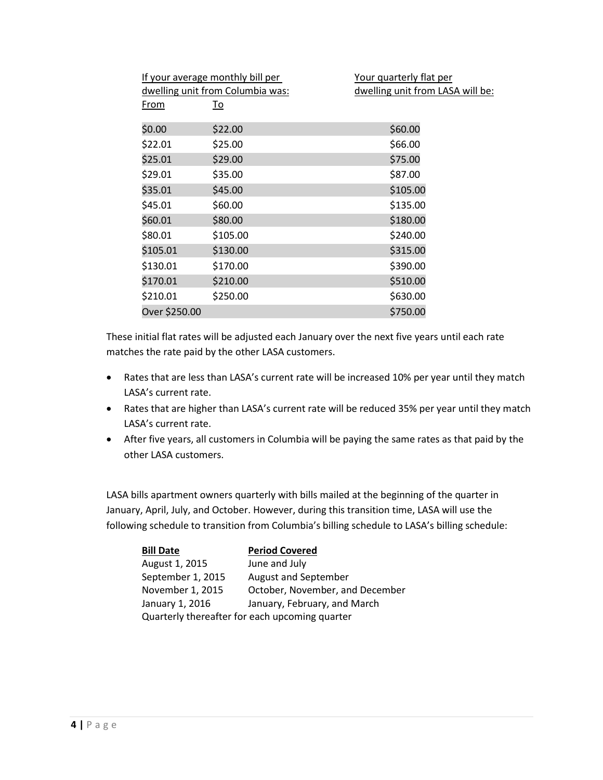|               | If your average monthly bill per<br>dwelling unit from Columbia was: | Your quarterly flat per<br>dwelling unit from LASA will be: |
|---------------|----------------------------------------------------------------------|-------------------------------------------------------------|
| From          | To                                                                   |                                                             |
| \$0.00        | \$22.00                                                              | \$60.00                                                     |
| \$22.01       | \$25.00                                                              | \$66.00                                                     |
| \$25.01       | \$29.00                                                              | \$75.00                                                     |
| \$29.01       | \$35.00                                                              | \$87.00                                                     |
| \$35.01       | \$45.00                                                              | \$105.00                                                    |
| \$45.01       | \$60.00                                                              | \$135.00                                                    |
| \$60.01       | \$80.00                                                              | \$180.00                                                    |
| \$80.01       | \$105.00                                                             | \$240.00                                                    |
| \$105.01      | \$130.00                                                             | \$315.00                                                    |
| \$130.01      | \$170.00                                                             | \$390.00                                                    |
| \$170.01      | \$210.00                                                             | \$510.00                                                    |
| \$210.01      | \$250.00                                                             | \$630.00                                                    |
| Over \$250.00 |                                                                      | \$750.00                                                    |

These initial flat rates will be adjusted each January over the next five years until each rate matches the rate paid by the other LASA customers.

- Rates that are less than LASA's current rate will be increased 10% per year until they match LASA's current rate.
- Rates that are higher than LASA's current rate will be reduced 35% per year until they match LASA's current rate.
- After five years, all customers in Columbia will be paying the same rates as that paid by the other LASA customers.

LASA bills apartment owners quarterly with bills mailed at the beginning of the quarter in January, April, July, and October. However, during this transition time, LASA will use the following schedule to transition from Columbia's billing schedule to LASA's billing schedule:

| <b>Bill Date</b>                               | <b>Period Covered</b>           |
|------------------------------------------------|---------------------------------|
| August 1, 2015                                 | June and July                   |
| September 1, 2015                              | August and September            |
| November 1, 2015                               | October, November, and December |
| January 1, 2016                                | January, February, and March    |
| Quarterly thereafter for each upcoming quarter |                                 |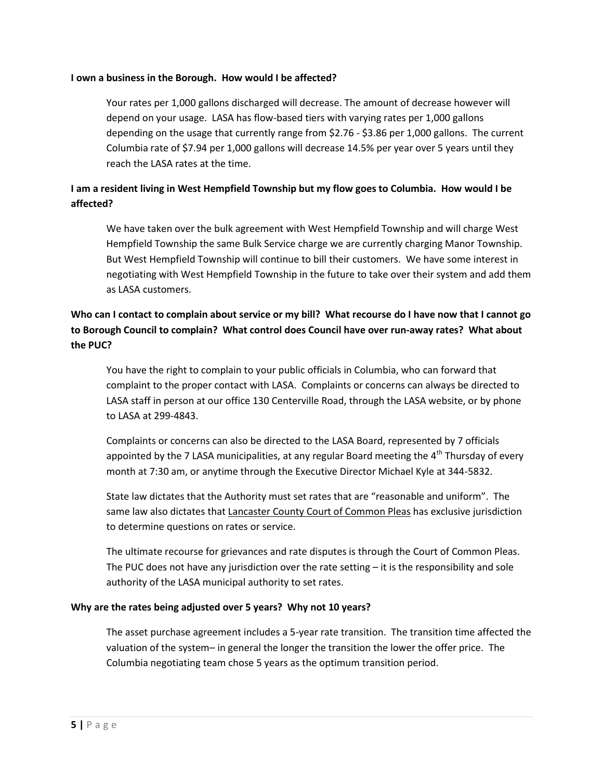#### **I own a business in the Borough. How would I be affected?**

Your rates per 1,000 gallons discharged will decrease. The amount of decrease however will depend on your usage. LASA has flow-based tiers with varying rates per 1,000 gallons depending on the usage that currently range from \$2.76 - \$3.86 per 1,000 gallons. The current Columbia rate of \$7.94 per 1,000 gallons will decrease 14.5% per year over 5 years until they reach the LASA rates at the time.

# **I am a resident living in West Hempfield Township but my flow goes to Columbia. How would I be affected?**

We have taken over the bulk agreement with West Hempfield Township and will charge West Hempfield Township the same Bulk Service charge we are currently charging Manor Township. But West Hempfield Township will continue to bill their customers. We have some interest in negotiating with West Hempfield Township in the future to take over their system and add them as LASA customers.

# **Who can I contact to complain about service or my bill? What recourse do I have now that I cannot go to Borough Council to complain? What control does Council have over run-away rates? What about the PUC?**

You have the right to complain to your public officials in Columbia, who can forward that complaint to the proper contact with LASA. Complaints or concerns can always be directed to LASA staff in person at our office 130 Centerville Road, through the LASA website, or by phone to LASA at 299-4843.

Complaints or concerns can also be directed to the LASA Board, represented by 7 officials appointed by the 7 LASA municipalities, at any regular Board meeting the  $4<sup>th</sup>$  Thursday of every month at 7:30 am, or anytime through the Executive Director Michael Kyle at 344-5832.

State law dictates that the Authority must set rates that are "reasonable and uniform". The same law also dictates that Lancaster County Court of Common Pleas has exclusive jurisdiction to determine questions on rates or service.

The ultimate recourse for grievances and rate disputes is through the Court of Common Pleas. The PUC does not have any jurisdiction over the rate setting  $-$  it is the responsibility and sole authority of the LASA municipal authority to set rates.

### **Why are the rates being adjusted over 5 years? Why not 10 years?**

The asset purchase agreement includes a 5-year rate transition. The transition time affected the valuation of the system– in general the longer the transition the lower the offer price. The Columbia negotiating team chose 5 years as the optimum transition period.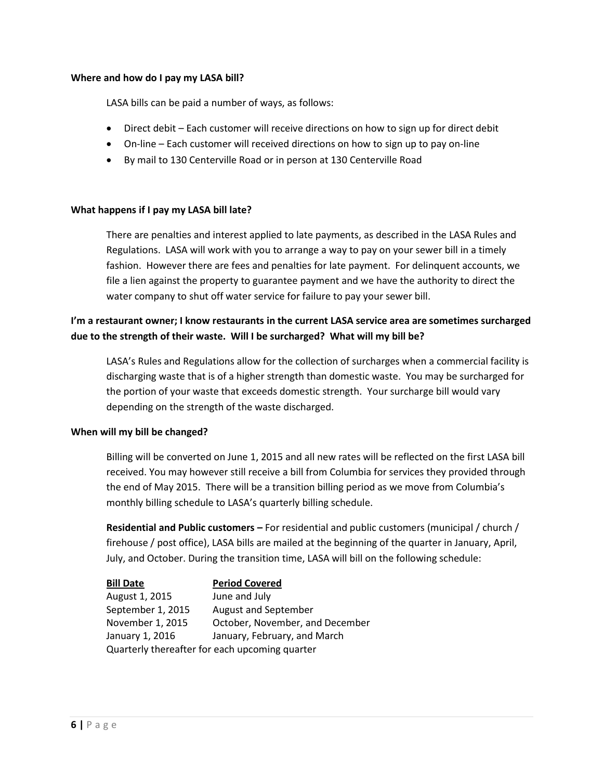#### **Where and how do I pay my LASA bill?**

LASA bills can be paid a number of ways, as follows:

- Direct debit Each customer will receive directions on how to sign up for direct debit
- On-line Each customer will received directions on how to sign up to pay on-line
- By mail to 130 Centerville Road or in person at 130 Centerville Road

#### **What happens if I pay my LASA bill late?**

There are penalties and interest applied to late payments, as described in the LASA Rules and Regulations. LASA will work with you to arrange a way to pay on your sewer bill in a timely fashion. However there are fees and penalties for late payment. For delinquent accounts, we file a lien against the property to guarantee payment and we have the authority to direct the water company to shut off water service for failure to pay your sewer bill.

# **I'm a restaurant owner; I know restaurants in the current LASA service area are sometimes surcharged due to the strength of their waste. Will I be surcharged? What will my bill be?**

LASA's Rules and Regulations allow for the collection of surcharges when a commercial facility is discharging waste that is of a higher strength than domestic waste. You may be surcharged for the portion of your waste that exceeds domestic strength. Your surcharge bill would vary depending on the strength of the waste discharged.

#### **When will my bill be changed?**

Billing will be converted on June 1, 2015 and all new rates will be reflected on the first LASA bill received. You may however still receive a bill from Columbia for services they provided through the end of May 2015. There will be a transition billing period as we move from Columbia's monthly billing schedule to LASA's quarterly billing schedule.

**Residential and Public customers –** For residential and public customers (municipal / church / firehouse / post office), LASA bills are mailed at the beginning of the quarter in January, April, July, and October. During the transition time, LASA will bill on the following schedule:

**Bill Date Period Covered** August 1, 2015 June and July September 1, 2015 August and September November 1, 2015 October, November, and December January 1, 2016 January, February, and March Quarterly thereafter for each upcoming quarter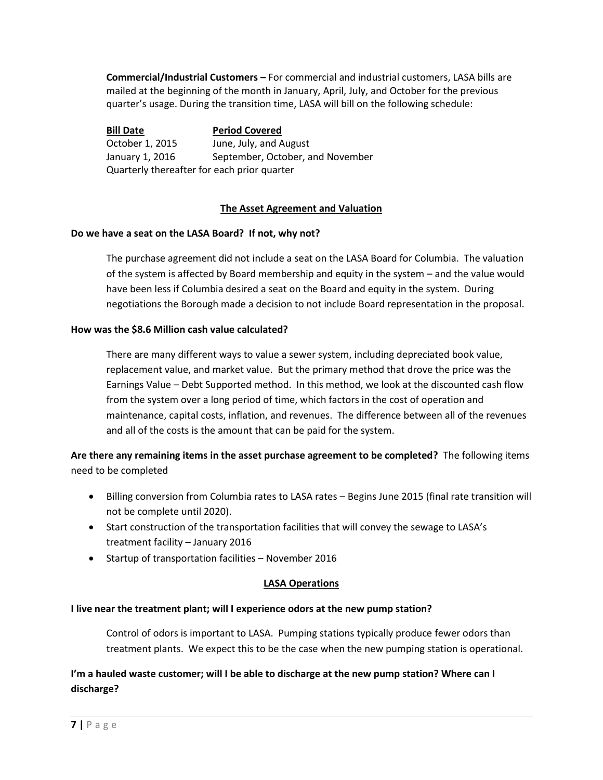**Commercial/Industrial Customers –** For commercial and industrial customers, LASA bills are mailed at the beginning of the month in January, April, July, and October for the previous quarter's usage. During the transition time, LASA will bill on the following schedule:

**Bill Date Period Covered** October 1, 2015 June, July, and August January 1, 2016 September, October, and November Quarterly thereafter for each prior quarter

## **The Asset Agreement and Valuation**

### **Do we have a seat on the LASA Board? If not, why not?**

The purchase agreement did not include a seat on the LASA Board for Columbia. The valuation of the system is affected by Board membership and equity in the system – and the value would have been less if Columbia desired a seat on the Board and equity in the system. During negotiations the Borough made a decision to not include Board representation in the proposal.

### **How was the \$8.6 Million cash value calculated?**

There are many different ways to value a sewer system, including depreciated book value, replacement value, and market value. But the primary method that drove the price was the Earnings Value – Debt Supported method. In this method, we look at the discounted cash flow from the system over a long period of time, which factors in the cost of operation and maintenance, capital costs, inflation, and revenues. The difference between all of the revenues and all of the costs is the amount that can be paid for the system.

**Are there any remaining items in the asset purchase agreement to be completed?** The following items need to be completed

- Billing conversion from Columbia rates to LASA rates Begins June 2015 (final rate transition will not be complete until 2020).
- Start construction of the transportation facilities that will convey the sewage to LASA's treatment facility – January 2016
- Startup of transportation facilities November 2016

### **LASA Operations**

### **I live near the treatment plant; will I experience odors at the new pump station?**

Control of odors is important to LASA. Pumping stations typically produce fewer odors than treatment plants. We expect this to be the case when the new pumping station is operational.

# **I'm a hauled waste customer; will I be able to discharge at the new pump station? Where can I discharge?**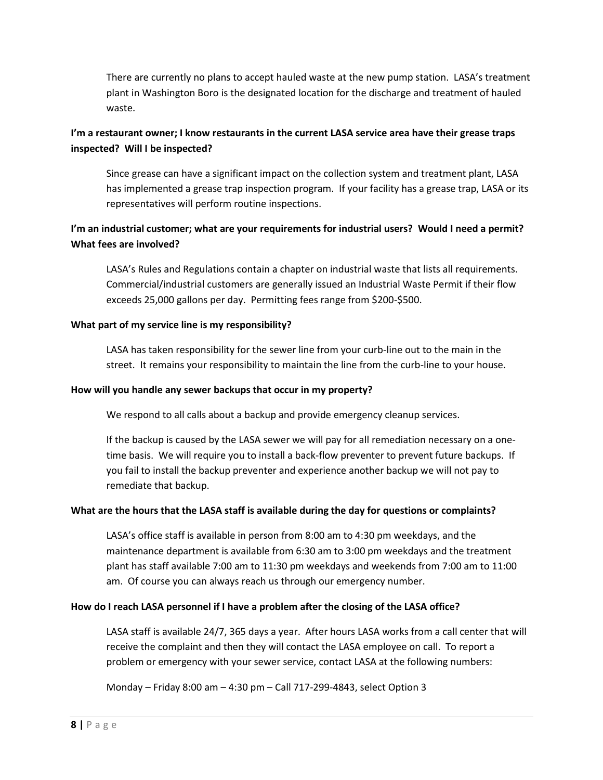There are currently no plans to accept hauled waste at the new pump station. LASA's treatment plant in Washington Boro is the designated location for the discharge and treatment of hauled waste.

# **I'm a restaurant owner; I know restaurants in the current LASA service area have their grease traps inspected? Will I be inspected?**

Since grease can have a significant impact on the collection system and treatment plant, LASA has implemented a grease trap inspection program. If your facility has a grease trap, LASA or its representatives will perform routine inspections.

# **I'm an industrial customer; what are your requirements for industrial users? Would I need a permit? What fees are involved?**

LASA's Rules and Regulations contain a chapter on industrial waste that lists all requirements. Commercial/industrial customers are generally issued an Industrial Waste Permit if their flow exceeds 25,000 gallons per day. Permitting fees range from \$200-\$500.

## **What part of my service line is my responsibility?**

LASA has taken responsibility for the sewer line from your curb-line out to the main in the street. It remains your responsibility to maintain the line from the curb-line to your house.

## **How will you handle any sewer backups that occur in my property?**

We respond to all calls about a backup and provide emergency cleanup services.

If the backup is caused by the LASA sewer we will pay for all remediation necessary on a onetime basis. We will require you to install a back-flow preventer to prevent future backups. If you fail to install the backup preventer and experience another backup we will not pay to remediate that backup.

### **What are the hours that the LASA staff is available during the day for questions or complaints?**

LASA's office staff is available in person from 8:00 am to 4:30 pm weekdays, and the maintenance department is available from 6:30 am to 3:00 pm weekdays and the treatment plant has staff available 7:00 am to 11:30 pm weekdays and weekends from 7:00 am to 11:00 am. Of course you can always reach us through our emergency number.

# **How do I reach LASA personnel if I have a problem after the closing of the LASA office?**

LASA staff is available 24/7, 365 days a year. After hours LASA works from a call center that will receive the complaint and then they will contact the LASA employee on call. To report a problem or emergency with your sewer service, contact LASA at the following numbers:

### Monday – Friday 8:00 am – 4:30 pm – Call 717-299-4843, select Option 3